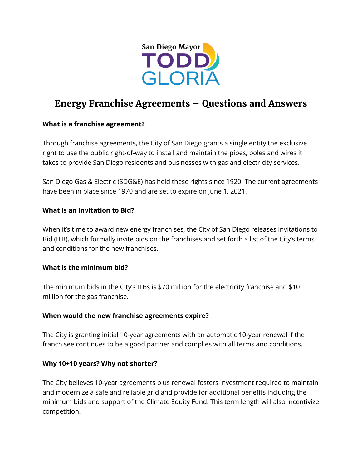

# **Energy Franchise Agreements – Questions and Answers**

#### **What is a franchise agreement?**

Through franchise agreements, the City of San Diego grants a single entity the exclusive right to use the public right-of-way to install and maintain the pipes, poles and wires it takes to provide San Diego residents and businesses with gas and electricity services.

San Diego Gas & Electric (SDG&E) has held these rights since 1920. The current agreements have been in place since 1970 and are set to expire on June 1, 2021.

#### **What is an Invitation to Bid?**

When it's time to award new energy franchises, the City of San Diego releases Invitations to Bid (ITB), which formally invite bids on the franchises and set forth a list of the City's terms and conditions for the new franchises.

#### **What is the minimum bid?**

The minimum bids in the City's ITBs is \$70 million for the electricity franchise and \$10 million for the gas franchise.

#### **When would the new franchise agreements expire?**

The City is granting initial 10-year agreements with an automatic 10-year renewal if the franchisee continues to be a good partner and complies with all terms and conditions.

#### **Why 10+10 years? Why not shorter?**

The City believes 10-year agreements plus renewal fosters investment required to maintain and modernize a safe and reliable grid and provide for additional benefits including the minimum bids and support of the Climate Equity Fund. This term length will also incentivize competition.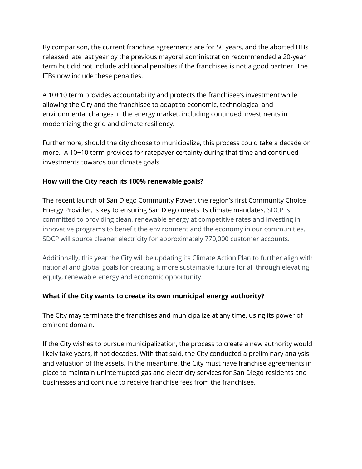By comparison, the current franchise agreements are for 50 years, and the aborted ITBs released late last year by the previous mayoral administration recommended a 20-year term but did not include additional penalties if the franchisee is not a good partner. The ITBs now include these penalties.

A 10+10 term provides accountability and protects the franchisee's investment while allowing the City and the franchisee to adapt to economic, technological and environmental changes in the energy market, including continued investments in modernizing the grid and climate resiliency.

Furthermore, should the city choose to municipalize, this process could take a decade or more. A 10+10 term provides for ratepayer certainty during that time and continued investments towards our climate goals.

## **How will the City reach its 100% renewable goals?**

The recent launch of San Diego Community Power, the region's first Community Choice Energy Provider, is key to ensuring San Diego meets its climate mandates. SDCP is committed to providing clean, renewable energy at competitive rates and investing in innovative programs to benefit the environment and the economy in our communities. SDCP will source cleaner electricity for approximately 770,000 customer accounts.

Additionally, this year the City will be updating its Climate Action Plan to further align with national and global goals for creating a more sustainable future for all through elevating equity, renewable energy and economic opportunity.

## **What if the City wants to create its own municipal energy authority?**

The City may terminate the franchises and municipalize at any time, using its power of eminent domain.

If the City wishes to pursue municipalization, the process to create a new authority would likely take years, if not decades. With that said, the City conducted a preliminary analysis and valuation of the assets. In the meantime, the City must have franchise agreements in place to maintain uninterrupted gas and electricity services for San Diego residents and businesses and continue to receive franchise fees from the franchisee.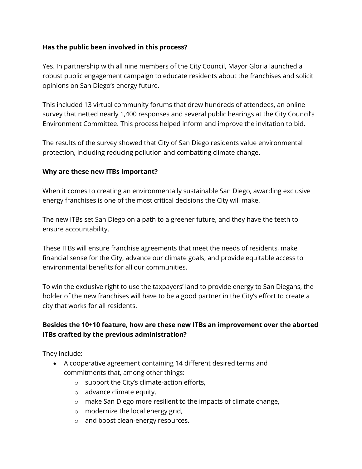## **Has the public been involved in this process?**

Yes. In partnership with all nine members of the City Council, Mayor Gloria launched a robust public engagement campaign to educate residents about the franchises and solicit opinions on San Diego's energy future.

This included 13 virtual community forums that drew hundreds of attendees, an online survey that netted nearly 1,400 responses and several public hearings at the City Council's Environment Committee. This process helped inform and improve the invitation to bid.

The results of the survey showed that City of San Diego residents value environmental protection, including reducing pollution and combatting climate change.

#### **Why are these new ITBs important?**

When it comes to creating an environmentally sustainable San Diego, awarding exclusive energy franchises is one of the most critical decisions the City will make.

The new ITBs set San Diego on a path to a greener future, and they have the teeth to ensure accountability.

These ITBs will ensure franchise agreements that meet the needs of residents, make financial sense for the City, advance our climate goals, and provide equitable access to environmental benefits for all our communities.

To win the exclusive right to use the taxpayers' land to provide energy to San Diegans, the holder of the new franchises will have to be a good partner in the City's effort to create a city that works for all residents.

# **Besides the 10+10 feature, how are these new ITBs an improvement over the aborted ITBs crafted by the previous administration?**

They include:

- A cooperative agreement containing 14 different desired terms and commitments that, among other things:
	- o support the City's climate-action efforts,
	- o advance climate equity,
	- o make San Diego more resilient to the impacts of climate change,
	- o modernize the local energy grid,
	- o and boost clean-energy resources.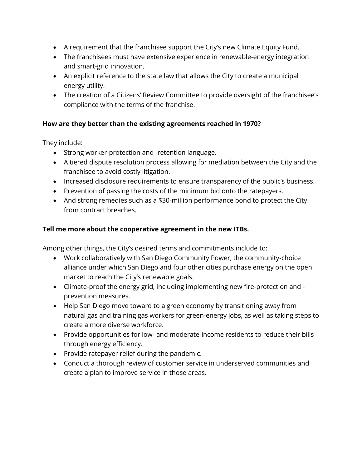- A requirement that the franchisee support the City's new Climate Equity Fund.
- The franchisees must have extensive experience in renewable-energy integration and smart-grid innovation.
- An explicit reference to the state law that allows the City to create a municipal energy utility.
- The creation of a Citizens' Review Committee to provide oversight of the franchisee's compliance with the terms of the franchise.

# **How are they better than the existing agreements reached in 1970?**

They include:

- Strong worker-protection and -retention language.
- A tiered dispute resolution process allowing for mediation between the City and the franchisee to avoid costly litigation.
- Increased disclosure requirements to ensure transparency of the public's business.
- Prevention of passing the costs of the minimum bid onto the ratepayers.
- And strong remedies such as a \$30-million performance bond to protect the City from contract breaches.

## **Tell me more about the cooperative agreement in the new ITBs.**

Among other things, the City's desired terms and commitments include to:

- Work collaboratively with San Diego Community Power, the community-choice alliance under which San Diego and four other cities purchase energy on the open market to reach the City's renewable goals.
- Climate-proof the energy grid, including implementing new fire-protection and prevention measures.
- Help San Diego move toward to a green economy by transitioning away from natural gas and training gas workers for green-energy jobs, as well as taking steps to create a more diverse workforce.
- Provide opportunities for low- and moderate-income residents to reduce their bills through energy efficiency.
- Provide ratepayer relief during the pandemic.
- Conduct a thorough review of customer service in underserved communities and create a plan to improve service in those areas.